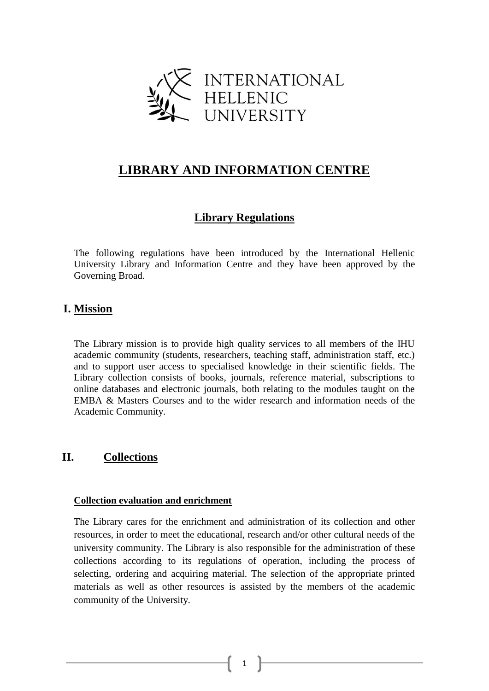

# **LIBRARY AND INFORMATION CENTRE**

# **Library Regulations**

The following regulations have been introduced by the International Hellenic University Library and Information Centre and they have been approved by the Governing Broad.

# **I. Mission**

The Library mission is to provide high quality services to all members of the IHU academic community (students, researchers, teaching staff, administration staff, etc.) and to support user access to specialised knowledge in their scientific fields. The Library collection consists of books, journals, reference material, subscriptions to online databases and electronic journals, both relating to the modules taught on the EMBA & Masters Courses and to the wider research and information needs of the Academic Community.

# **II. Collections**

### **Collection evaluation and enrichment**

The Library cares for the enrichment and administration of its collection and other resources, in order to meet the educational, research and/or other cultural needs of the university community. The Library is also responsible for the administration of these collections according to its regulations of operation, including the process of selecting, ordering and acquiring material. The selection of the appropriate printed materials as well as other resources is assisted by the members of the academic community of the University.

1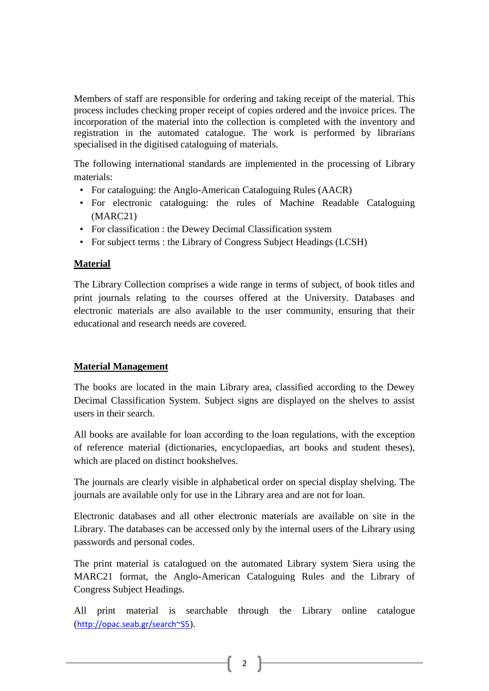Members of staff are responsible for ordering and taking receipt of the material. This process includes checking proper receipt of copies ordered and the invoice prices. The incorporation of the material into the collection is completed with the inventory and registration in the automated catalogue. The work is performed by librarians specialised in the digitised cataloguing of materials.

The following international standards are implemented in the processing of Library materials:

- For cataloguing: the Anglo-American Cataloguing Rules (AACR)
- For electronic cataloguing: the rules of Machine Readable Cataloguing (MARC21)
- For classification : the Dewey Decimal Classification system
- For subject terms : the Library of Congress Subject Headings (LCSH)

## **Material**

The Library Collection comprises a wide range in terms of subject, of book titles and print journals relating to the courses offered at the University. Databases and electronic materials are also available to the user community, ensuring that their educational and research needs are covered.

## **Material Management**

The books are located in the main Library area, classified according to the Dewey Decimal Classification System. Subject signs are displayed on the shelves to assist users in their search.

All books are available for loan according to the loan regulations, with the exception of reference material (dictionaries, encyclopaedias, art books and student theses), which are placed on distinct bookshelves.

The journals are clearly visible in alphabetical order on special display shelving. The journals are available only for use in the Library area and are not for loan.

Electronic databases and all other electronic materials are available on site in the Library. The databases can be accessed only by the internal users of the Library using passwords and personal codes.

The print material is catalogued on the automated Library system Siera using the MARC21 format, the Anglo-American Cataloguing Rules and the Library of Congress Subject Headings.

All print material is searchable through the Library online catalogue (<http://opac.seab.gr/search~S5>).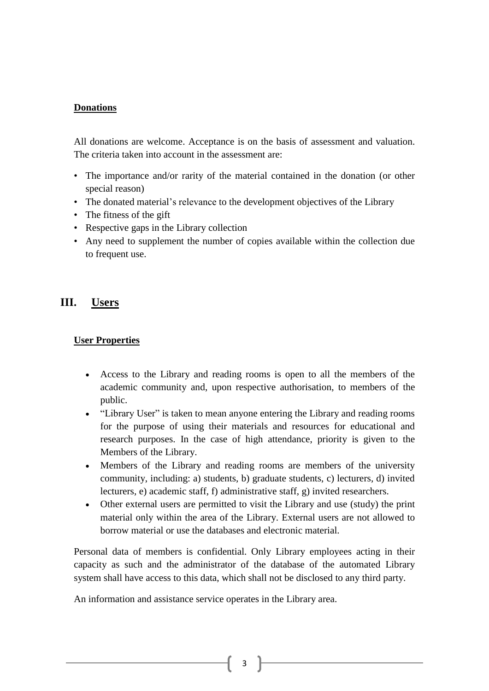### **Donations**

All donations are welcome. Acceptance is on the basis of assessment and valuation. The criteria taken into account in the assessment are:

- The importance and/or rarity of the material contained in the donation (or other special reason)
- The donated material's relevance to the development objectives of the Library
- The fitness of the gift
- Respective gaps in the Library collection
- Any need to supplement the number of copies available within the collection due to frequent use.

# **III. Users**

### **User Properties**

- Access to the Library and reading rooms is open to all the members of the academic community and, upon respective authorisation, to members of the public.
- "Library User" is taken to mean anyone entering the Library and reading rooms for the purpose of using their materials and resources for educational and research purposes. In the case of high attendance, priority is given to the Members of the Library.
- Members of the Library and reading rooms are members of the university community, including: a) students, b) graduate students, c) lecturers, d) invited lecturers, e) academic staff, f) administrative staff, g) invited researchers.
- Other external users are permitted to visit the Library and use (study) the print material only within the area of the Library. External users are not allowed to borrow material or use the databases and electronic material.

Personal data of members is confidential. Only Library employees acting in their capacity as such and the administrator of the database of the automated Library system shall have access to this data, which shall not be disclosed to any third party.

An information and assistance service operates in the Library area.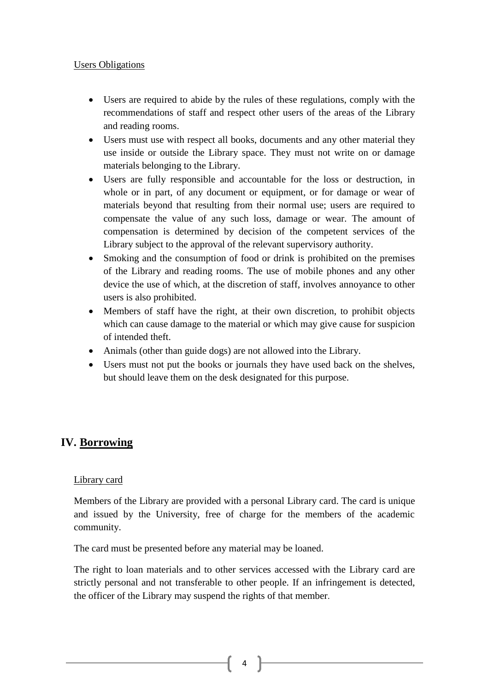### Users Obligations

- Users are required to abide by the rules of these regulations, comply with the recommendations of staff and respect other users of the areas of the Library and reading rooms.
- Users must use with respect all books, documents and any other material they use inside or outside the Library space. They must not write on or damage materials belonging to the Library.
- Users are fully responsible and accountable for the loss or destruction, in whole or in part, of any document or equipment, or for damage or wear of materials beyond that resulting from their normal use; users are required to compensate the value of any such loss, damage or wear. The amount of compensation is determined by decision of the competent services of the Library subject to the approval of the relevant supervisory authority.
- Smoking and the consumption of food or drink is prohibited on the premises of the Library and reading rooms. The use of mobile phones and any other device the use of which, at the discretion of staff, involves annoyance to other users is also prohibited.
- Members of staff have the right, at their own discretion, to prohibit objects which can cause damage to the material or which may give cause for suspicion of intended theft.
- Animals (other than guide dogs) are not allowed into the Library.
- Users must not put the books or journals they have used back on the shelves, but should leave them on the desk designated for this purpose.

# **IV. Borrowing**

## Library card

Members of the Library are provided with a personal Library card. The card is unique and issued by the University, free of charge for the members of the academic community.

The card must be presented before any material may be loaned.

The right to loan materials and to other services accessed with the Library card are strictly personal and not transferable to other people. If an infringement is detected, the officer of the Library may suspend the rights of that member.

4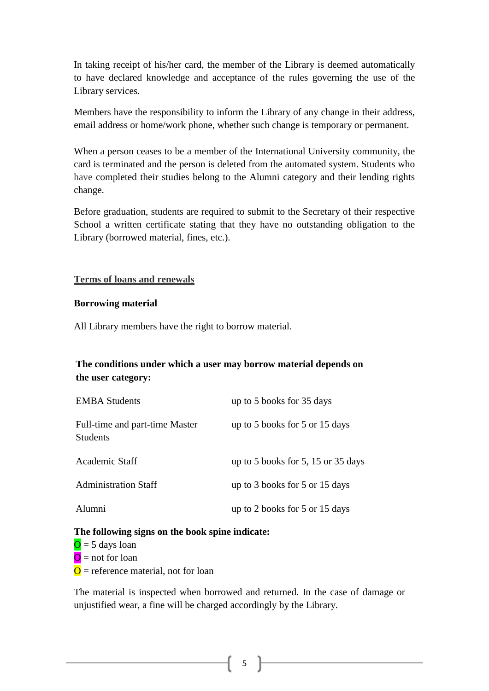In taking receipt of his/her card, the member of the Library is deemed automatically to have declared knowledge and acceptance of the rules governing the use of the Library services.

Members have the responsibility to inform the Library of any change in their address, email address or home/work phone, whether such change is temporary or permanent.

When a person ceases to be a member of the International University community, the card is terminated and the person is deleted from the automated system. Students who have completed their studies belong to the Alumni category and their lending rights change.

Before graduation, students are required to submit to the Secretary of their respective School a written certificate stating that they have no outstanding obligation to the Library (borrowed material, fines, etc.).

### **Terms of loans and renewals**

### **Borrowing material**

All Library members have the right to borrow material.

# **The conditions under which a user may borrow material depends on the user category:**

| <b>EMBA Students</b>                              | up to 5 books for 35 days          |
|---------------------------------------------------|------------------------------------|
| Full-time and part-time Master<br><b>Students</b> | up to 5 books for 5 or 15 days     |
| Academic Staff                                    | up to 5 books for 5, 15 or 35 days |
| <b>Administration Staff</b>                       | up to 3 books for 5 or 15 days     |
| Alumni                                            | up to 2 books for 5 or 15 days     |

### **The following signs on the book spine indicate:**

 $\overline{O}$  = 5 days loan  $\overline{O}$  = not for loan  $\overline{O}$  = reference material, not for loan

The material is inspected when borrowed and returned. In the case of damage or unjustified wear, a fine will be charged accordingly by the Library.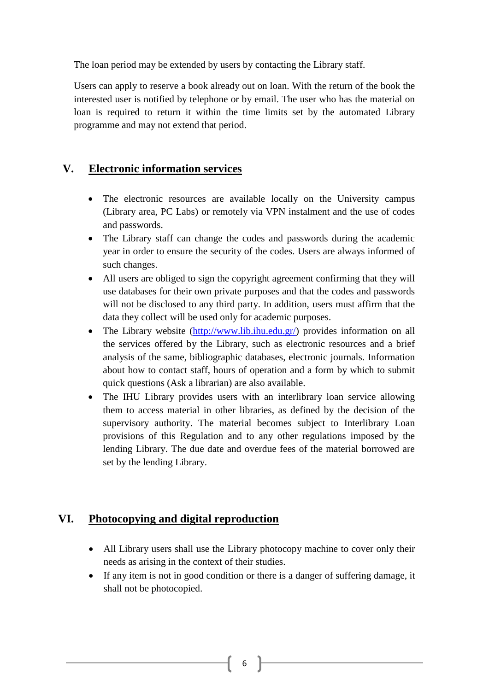The loan period may be extended by users by contacting the Library staff.

Users can apply to reserve a book already out on loan. With the return of the book the interested user is notified by telephone or by email. The user who has the material on loan is required to return it within the time limits set by the automated Library programme and may not extend that period.

# **V. Electronic information services**

- The electronic resources are available locally on the University campus (Library area, PC Labs) or remotely via VPN instalment and the use of codes and passwords.
- The Library staff can change the codes and passwords during the academic year in order to ensure the security of the codes. Users are always informed of such changes.
- All users are obliged to sign the copyright agreement confirming that they will use databases for their own private purposes and that the codes and passwords will not be disclosed to any third party. In addition, users must affirm that the data they collect will be used only for academic purposes.
- The Library website [\(http://www.lib.ihu.edu.gr/\)](http://www.lib.ihu.edu.gr/) provides information on all the services offered by the Library, such as electronic resources and a brief analysis of the same, bibliographic databases, electronic journals. Information about how to contact staff, hours of operation and a form by which to submit quick questions (Ask a librarian) are also available.
- The IHU Library provides users with an interlibrary loan service allowing them to access material in other libraries, as defined by the decision of the supervisory authority. The material becomes subject to Interlibrary Loan provisions of this Regulation and to any other regulations imposed by the lending Library. The due date and overdue fees of the material borrowed are set by the lending Library.

# **VI. Photocopying and digital reproduction**

- All Library users shall use the Library photocopy machine to cover only their needs as arising in the context of their studies.
- If any item is not in good condition or there is a danger of suffering damage, it shall not be photocopied.

6